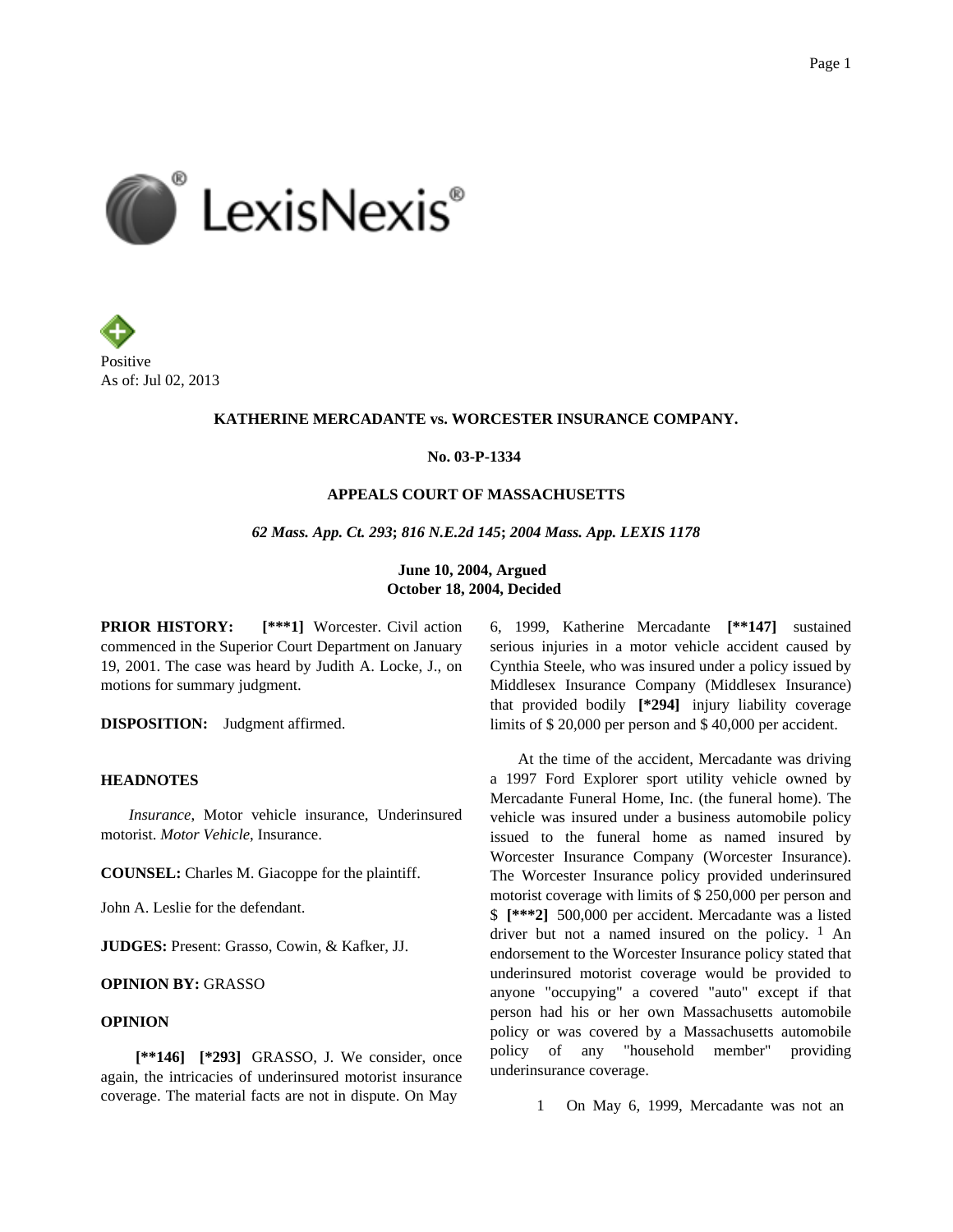



## **KATHERINE MERCADANTE vs. WORCESTER INSURANCE COMPANY.**

**No. 03-P-1334**

## **APPEALS COURT OF MASSACHUSETTS**

*62 Mass. App. Ct. 293***;** *816 N.E.2d 145***;** *2004 Mass. App. LEXIS 1178*

**June 10, 2004, Argued October 18, 2004, Decided**

**PRIOR HISTORY:** [\*\*\*1] Worcester. Civil action commenced in the Superior Court Department on January 19, 2001. The case was heard by Judith A. Locke, J., on motions for summary judgment.

**DISPOSITION:** Judgment affirmed.

### **HEADNOTES**

*Insurance*, Motor vehicle insurance, Underinsured motorist. *Motor Vehicle*, Insurance.

**COUNSEL:** Charles M. Giacoppe for the plaintiff.

John A. Leslie for the defendant.

**JUDGES:** Present: Grasso, Cowin, & Kafker, JJ.

# **OPINION BY:** GRASSO

## **OPINION**

**[\*\*146] [\*293]** GRASSO, J. We consider, once again, the intricacies of underinsured motorist insurance coverage. The material facts are not in dispute. On May

6, 1999, Katherine Mercadante **[\*\*147]** sustained serious injuries in a motor vehicle accident caused by Cynthia Steele, who was insured under a policy issued by Middlesex Insurance Company (Middlesex Insurance) that provided bodily **[\*294]** injury liability coverage limits of \$ 20,000 per person and \$ 40,000 per accident.

At the time of the accident, Mercadante was driving a 1997 Ford Explorer sport utility vehicle owned by Mercadante Funeral Home, Inc. (the funeral home). The vehicle was insured under a business automobile policy issued to the funeral home as named insured by Worcester Insurance Company (Worcester Insurance). The Worcester Insurance policy provided underinsured motorist coverage with limits of \$ 250,000 per person and \$ **[\*\*\*2]** 500,000 per accident. Mercadante was a listed driver but not a named insured on the policy.  $\frac{1}{1}$  An endorsement to the Worcester Insurance policy stated that underinsured motorist coverage would be provided to anyone "occupying" a covered "auto" except if that person had his or her own Massachusetts automobile policy or was covered by a Massachusetts automobile policy of any "household member" providing underinsurance coverage.

1 On May 6, 1999, Mercadante was not an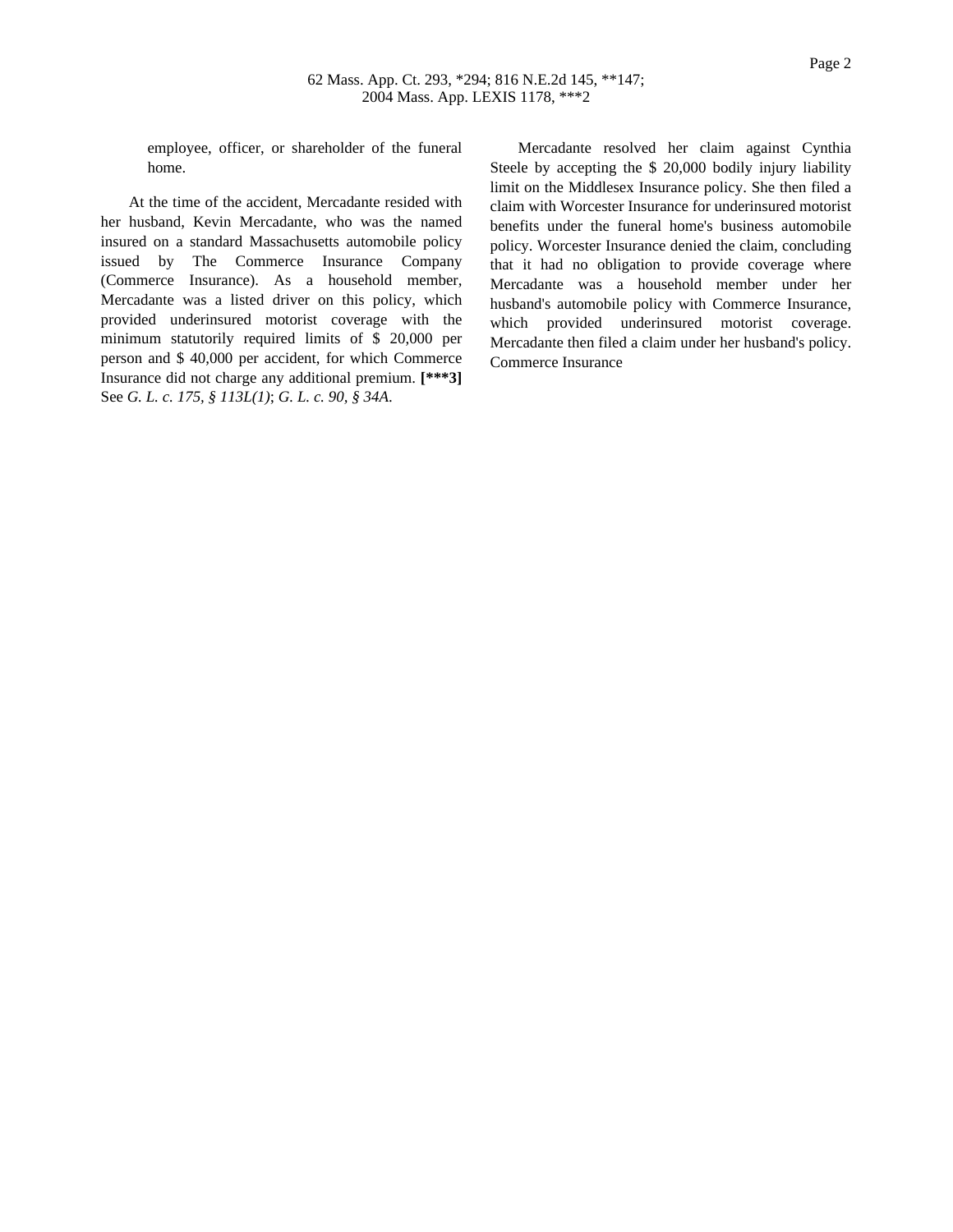employee, officer, or shareholder of the funeral home.

At the time of the accident, Mercadante resided with her husband, Kevin Mercadante, who was the named insured on a standard Massachusetts automobile policy issued by The Commerce Insurance Company (Commerce Insurance). As a household member, Mercadante was a listed driver on this policy, which provided underinsured motorist coverage with the minimum statutorily required limits of \$ 20,000 per person and \$ 40,000 per accident, for which Commerce Insurance did not charge any additional premium. **[\*\*\*3]** See *G. L. c. 175, § 113L(1)*; *G. L. c. 90, § 34A*.

Mercadante resolved her claim against Cynthia Steele by accepting the \$ 20,000 bodily injury liability limit on the Middlesex Insurance policy. She then filed a claim with Worcester Insurance for underinsured motorist benefits under the funeral home's business automobile policy. Worcester Insurance denied the claim, concluding that it had no obligation to provide coverage where Mercadante was a household member under her husband's automobile policy with Commerce Insurance, which provided underinsured motorist coverage. Mercadante then filed a claim under her husband's policy. Commerce Insurance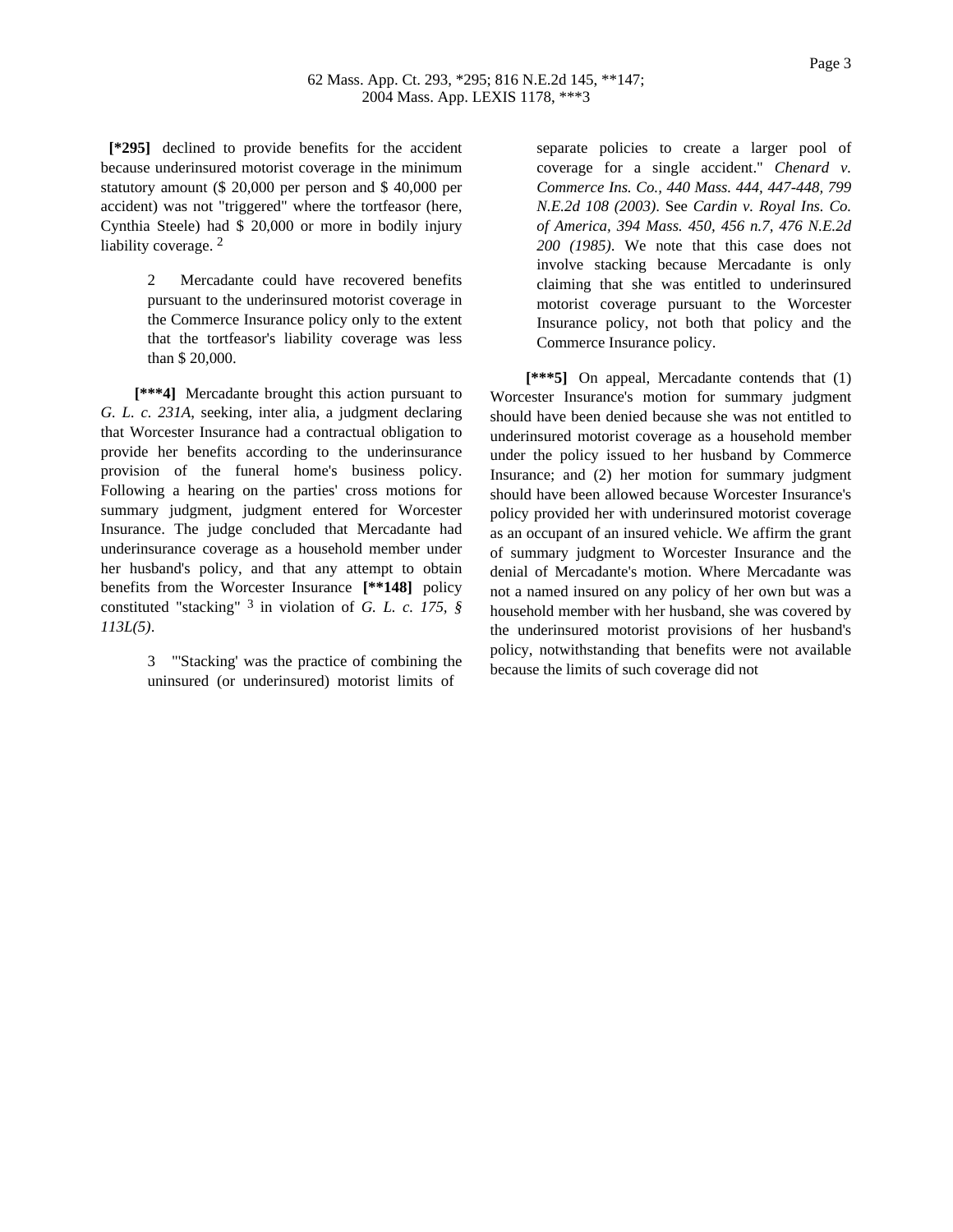**[\*295]** declined to provide benefits for the accident because underinsured motorist coverage in the minimum statutory amount (\$ 20,000 per person and \$ 40,000 per accident) was not "triggered" where the tortfeasor (here, Cynthia Steele) had \$ 20,000 or more in bodily injury liability coverage.<sup>2</sup>

> 2 Mercadante could have recovered benefits pursuant to the underinsured motorist coverage in the Commerce Insurance policy only to the extent that the tortfeasor's liability coverage was less than \$ 20,000.

**[\*\*\*4]** Mercadante brought this action pursuant to *G. L. c. 231A*, seeking, inter alia, a judgment declaring that Worcester Insurance had a contractual obligation to provide her benefits according to the underinsurance provision of the funeral home's business policy. Following a hearing on the parties' cross motions for summary judgment, judgment entered for Worcester Insurance. The judge concluded that Mercadante had underinsurance coverage as a household member under her husband's policy, and that any attempt to obtain benefits from the Worcester Insurance **[\*\*148]** policy constituted "stacking" 3 in violation of *G. L. c. 175, § 113L(5)*.

> 3 "'Stacking' was the practice of combining the uninsured (or underinsured) motorist limits of

separate policies to create a larger pool of coverage for a single accident." *Chenard v. Commerce Ins. Co., 440 Mass. 444, 447-448, 799 N.E.2d 108 (2003)*. See *Cardin v. Royal Ins. Co. of America, 394 Mass. 450, 456 n.7, 476 N.E.2d 200 (1985)*. We note that this case does not involve stacking because Mercadante is only claiming that she was entitled to underinsured motorist coverage pursuant to the Worcester Insurance policy, not both that policy and the Commerce Insurance policy.

**[\*\*\*5]** On appeal, Mercadante contends that (1) Worcester Insurance's motion for summary judgment should have been denied because she was not entitled to underinsured motorist coverage as a household member under the policy issued to her husband by Commerce Insurance; and (2) her motion for summary judgment should have been allowed because Worcester Insurance's policy provided her with underinsured motorist coverage as an occupant of an insured vehicle. We affirm the grant of summary judgment to Worcester Insurance and the denial of Mercadante's motion. Where Mercadante was not a named insured on any policy of her own but was a household member with her husband, she was covered by the underinsured motorist provisions of her husband's policy, notwithstanding that benefits were not available because the limits of such coverage did not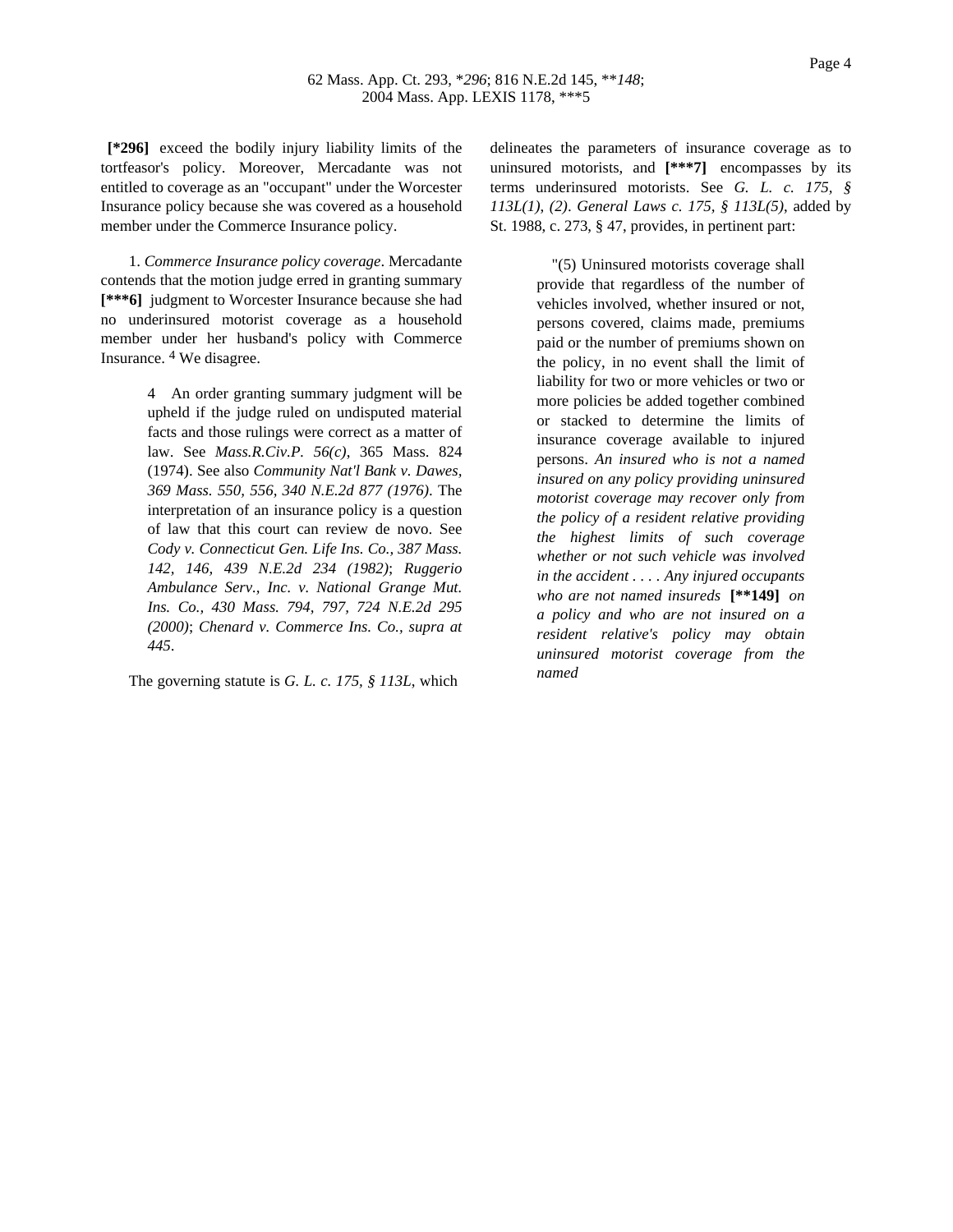**[\*296]** exceed the bodily injury liability limits of the tortfeasor's policy. Moreover, Mercadante was not entitled to coverage as an "occupant" under the Worcester Insurance policy because she was covered as a household member under the Commerce Insurance policy.

1. *Commerce Insurance policy coverage*. Mercadante contends that the motion judge erred in granting summary **[\*\*\*6]** judgment to Worcester Insurance because she had no underinsured motorist coverage as a household member under her husband's policy with Commerce Insurance. 4 We disagree.

> 4 An order granting summary judgment will be upheld if the judge ruled on undisputed material facts and those rulings were correct as a matter of law. See *Mass.R.Civ.P. 56(c)*, 365 Mass. 824 (1974). See also *Community Nat'l Bank v. Dawes, 369 Mass. 550, 556, 340 N.E.2d 877 (1976)*. The interpretation of an insurance policy is a question of law that this court can review de novo. See *Cody v. Connecticut Gen. Life Ins. Co., 387 Mass. 142, 146, 439 N.E.2d 234 (1982)*; *Ruggerio Ambulance Serv., Inc. v. National Grange Mut. Ins. Co., 430 Mass. 794, 797, 724 N.E.2d 295 (2000)*; *Chenard v. Commerce Ins. Co., supra at 445*.

The governing statute is *G. L. c. 175, § 113L*, which

delineates the parameters of insurance coverage as to uninsured motorists, and **[\*\*\*7]** encompasses by its terms underinsured motorists. See *G. L. c. 175, § 113L(1)*, *(2)*. *General Laws c. 175, § 113L(5)*, added by St. 1988, c. 273, § 47, provides, in pertinent part:

> "(5) Uninsured motorists coverage shall provide that regardless of the number of vehicles involved, whether insured or not, persons covered, claims made, premiums paid or the number of premiums shown on the policy, in no event shall the limit of liability for two or more vehicles or two or more policies be added together combined or stacked to determine the limits of insurance coverage available to injured persons. *An insured who is not a named insured on any policy providing uninsured motorist coverage may recover only from the policy of a resident relative providing the highest limits of such coverage whether or not such vehicle was involved in the accident . . . . Any injured occupants who are not named insureds* **[\*\*149]** *on a policy and who are not insured on a resident relative's policy may obtain uninsured motorist coverage from the named*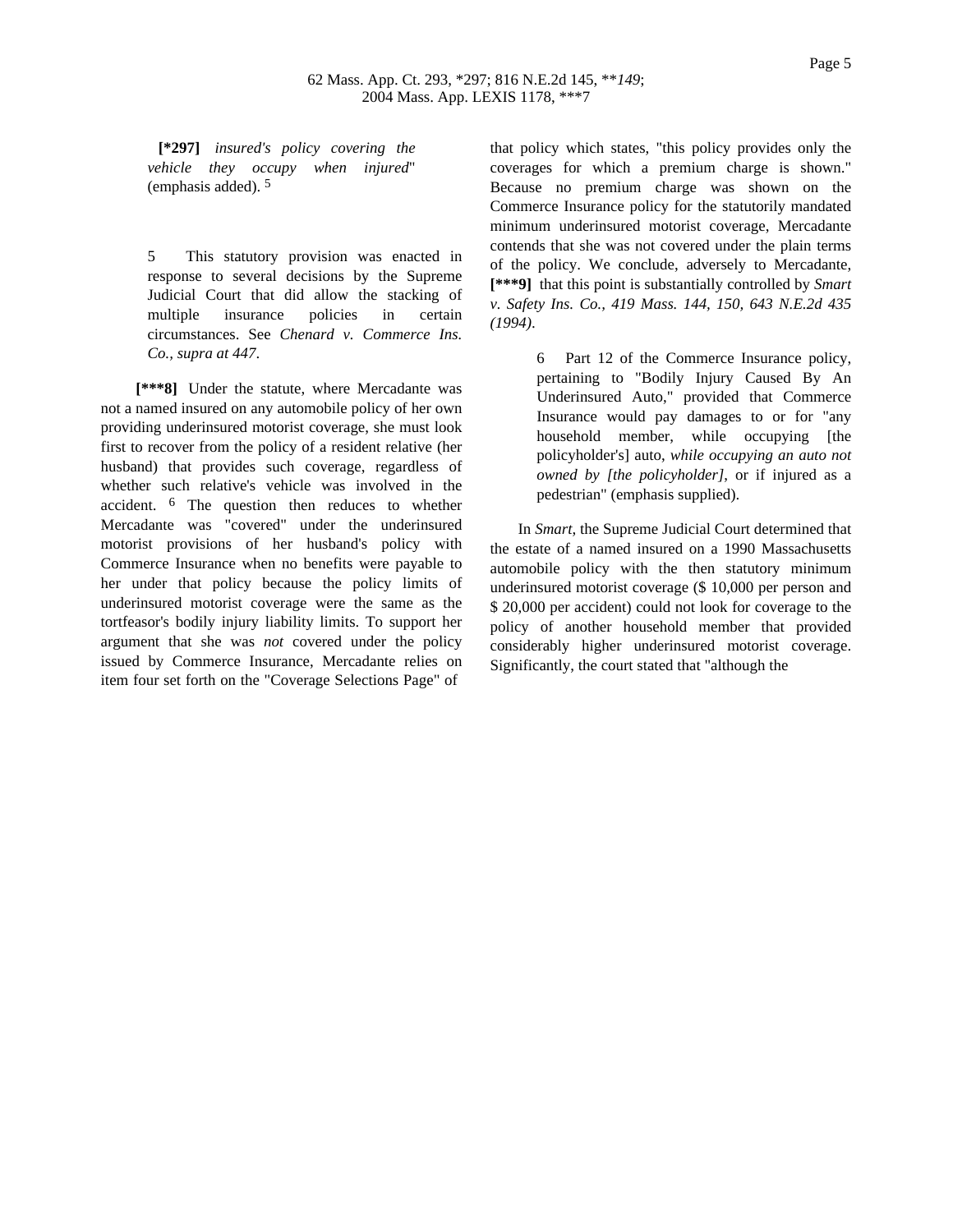**[\*297]** *insured's policy covering the vehicle they occupy when injured*" (emphasis added). 5

5 This statutory provision was enacted in response to several decisions by the Supreme Judicial Court that did allow the stacking of multiple insurance policies in certain circumstances. See *Chenard v. Commerce Ins. Co., supra at 447*.

**[\*\*\*8]** Under the statute, where Mercadante was not a named insured on any automobile policy of her own providing underinsured motorist coverage, she must look first to recover from the policy of a resident relative (her husband) that provides such coverage, regardless of whether such relative's vehicle was involved in the accident. 6 The question then reduces to whether Mercadante was "covered" under the underinsured motorist provisions of her husband's policy with Commerce Insurance when no benefits were payable to her under that policy because the policy limits of underinsured motorist coverage were the same as the tortfeasor's bodily injury liability limits. To support her argument that she was *not* covered under the policy issued by Commerce Insurance, Mercadante relies on item four set forth on the "Coverage Selections Page" of

that policy which states, "this policy provides only the coverages for which a premium charge is shown." Because no premium charge was shown on the Commerce Insurance policy for the statutorily mandated minimum underinsured motorist coverage, Mercadante contends that she was not covered under the plain terms of the policy. We conclude, adversely to Mercadante, **[\*\*\*9]** that this point is substantially controlled by *Smart v. Safety Ins. Co., 419 Mass. 144, 150, 643 N.E.2d 435 (1994)*.

> 6 Part 12 of the Commerce Insurance policy, pertaining to "Bodily Injury Caused By An Underinsured Auto," provided that Commerce Insurance would pay damages to or for "any household member, while occupying [the policyholder's] auto, *while occupying an auto not owned by [the policyholder]*, or if injured as a pedestrian" (emphasis supplied).

In *Smart*, the Supreme Judicial Court determined that the estate of a named insured on a 1990 Massachusetts automobile policy with the then statutory minimum underinsured motorist coverage (\$ 10,000 per person and \$ 20,000 per accident) could not look for coverage to the policy of another household member that provided considerably higher underinsured motorist coverage. Significantly, the court stated that "although the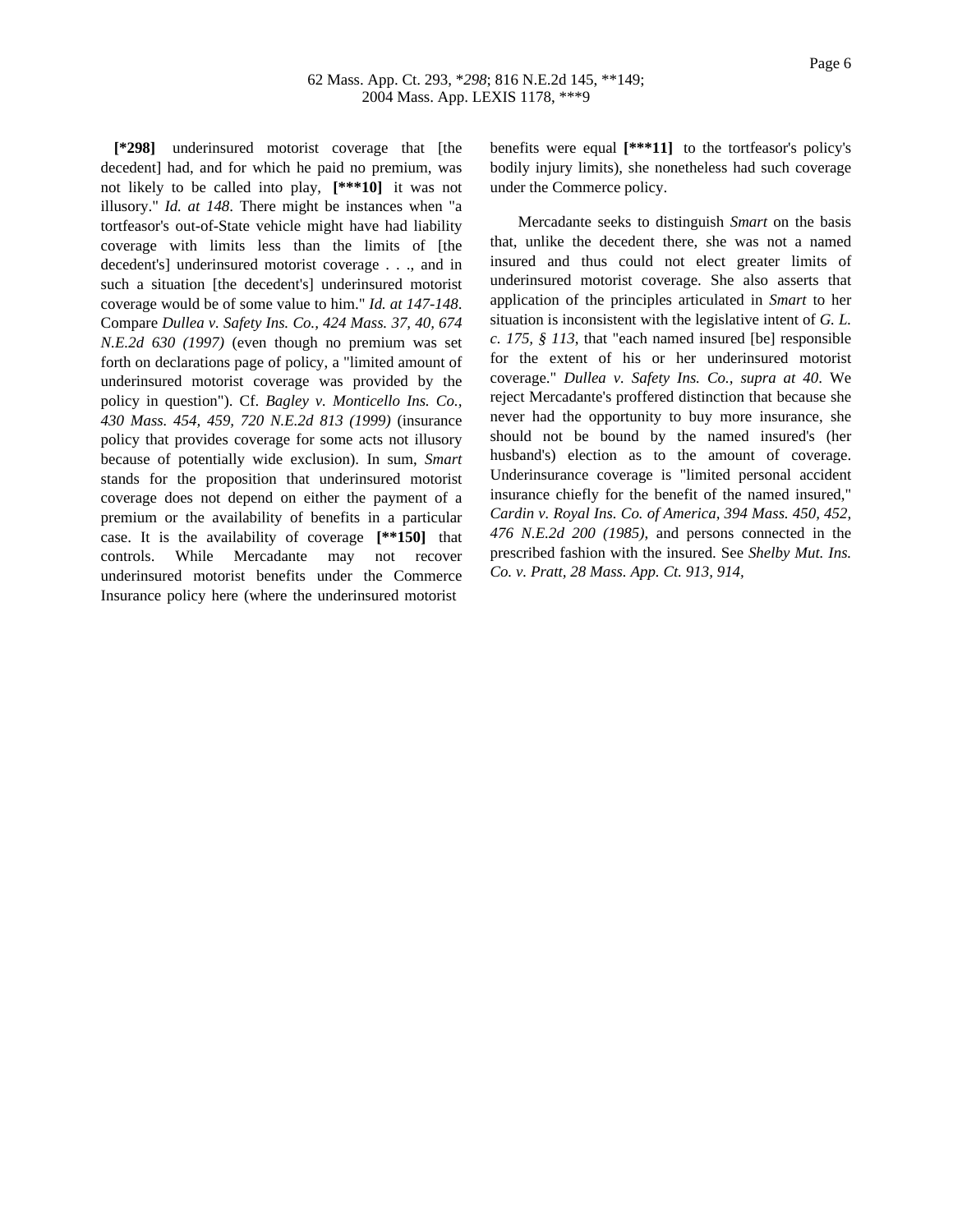**[\*298]** underinsured motorist coverage that [the decedent] had, and for which he paid no premium, was not likely to be called into play, **[\*\*\*10]** it was not illusory." *Id. at 148*. There might be instances when "a tortfeasor's out-of-State vehicle might have had liability coverage with limits less than the limits of [the decedent's] underinsured motorist coverage . . ., and in such a situation [the decedent's] underinsured motorist coverage would be of some value to him." *Id. at 147-148*. Compare *Dullea v. Safety Ins. Co., 424 Mass. 37, 40, 674 N.E.2d 630 (1997)* (even though no premium was set forth on declarations page of policy, a "limited amount of underinsured motorist coverage was provided by the policy in question"). Cf. *Bagley v. Monticello Ins. Co., 430 Mass. 454, 459, 720 N.E.2d 813 (1999)* (insurance policy that provides coverage for some acts not illusory because of potentially wide exclusion). In sum, *Smart* stands for the proposition that underinsured motorist coverage does not depend on either the payment of a premium or the availability of benefits in a particular case. It is the availability of coverage **[\*\*150]** that controls. While Mercadante may not recover underinsured motorist benefits under the Commerce Insurance policy here (where the underinsured motorist

benefits were equal **[\*\*\*11]** to the tortfeasor's policy's bodily injury limits), she nonetheless had such coverage under the Commerce policy.

Mercadante seeks to distinguish *Smart* on the basis that, unlike the decedent there, she was not a named insured and thus could not elect greater limits of underinsured motorist coverage. She also asserts that application of the principles articulated in *Smart* to her situation is inconsistent with the legislative intent of *G. L. c. 175, § 113*, that "each named insured [be] responsible for the extent of his or her underinsured motorist coverage." *Dullea v. Safety Ins. Co., supra at 40*. We reject Mercadante's proffered distinction that because she never had the opportunity to buy more insurance, she should not be bound by the named insured's (her husband's) election as to the amount of coverage. Underinsurance coverage is "limited personal accident insurance chiefly for the benefit of the named insured," *Cardin v. Royal Ins. Co. of America, 394 Mass. 450, 452, 476 N.E.2d 200 (1985)*, and persons connected in the prescribed fashion with the insured. See *Shelby Mut. Ins. Co. v. Pratt, 28 Mass. App. Ct. 913, 914,*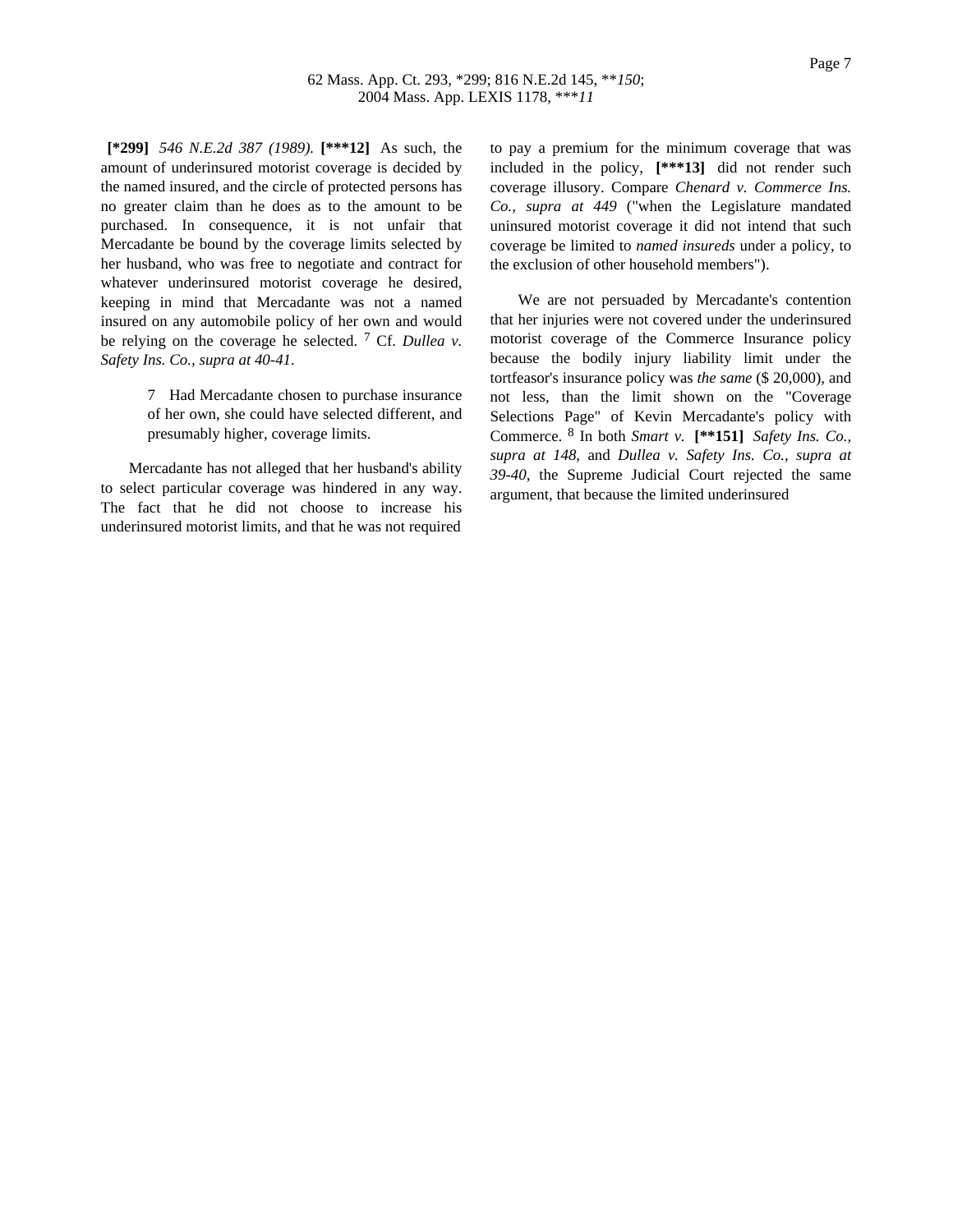**[\*299]** *546 N.E.2d 387 (1989).* **[\*\*\*12]** As such, the amount of underinsured motorist coverage is decided by the named insured, and the circle of protected persons has no greater claim than he does as to the amount to be purchased. In consequence, it is not unfair that Mercadante be bound by the coverage limits selected by her husband, who was free to negotiate and contract for whatever underinsured motorist coverage he desired, keeping in mind that Mercadante was not a named insured on any automobile policy of her own and would be relying on the coverage he selected. 7 Cf. *Dullea v. Safety Ins. Co., supra at 40-41*.

> 7 Had Mercadante chosen to purchase insurance of her own, she could have selected different, and presumably higher, coverage limits.

Mercadante has not alleged that her husband's ability to select particular coverage was hindered in any way. The fact that he did not choose to increase his underinsured motorist limits, and that he was not required to pay a premium for the minimum coverage that was included in the policy, **[\*\*\*13]** did not render such coverage illusory. Compare *Chenard v. Commerce Ins. Co., supra at 449* ("when the Legislature mandated uninsured motorist coverage it did not intend that such coverage be limited to *named insureds* under a policy, to the exclusion of other household members").

We are not persuaded by Mercadante's contention that her injuries were not covered under the underinsured motorist coverage of the Commerce Insurance policy because the bodily injury liability limit under the tortfeasor's insurance policy was *the same* (\$ 20,000), and not less, than the limit shown on the "Coverage Selections Page" of Kevin Mercadante's policy with Commerce. 8 In both *Smart v.* **[\*\*151]** *Safety Ins. Co., supra at 148*, and *Dullea v. Safety Ins. Co., supra at 39-40*, the Supreme Judicial Court rejected the same argument, that because the limited underinsured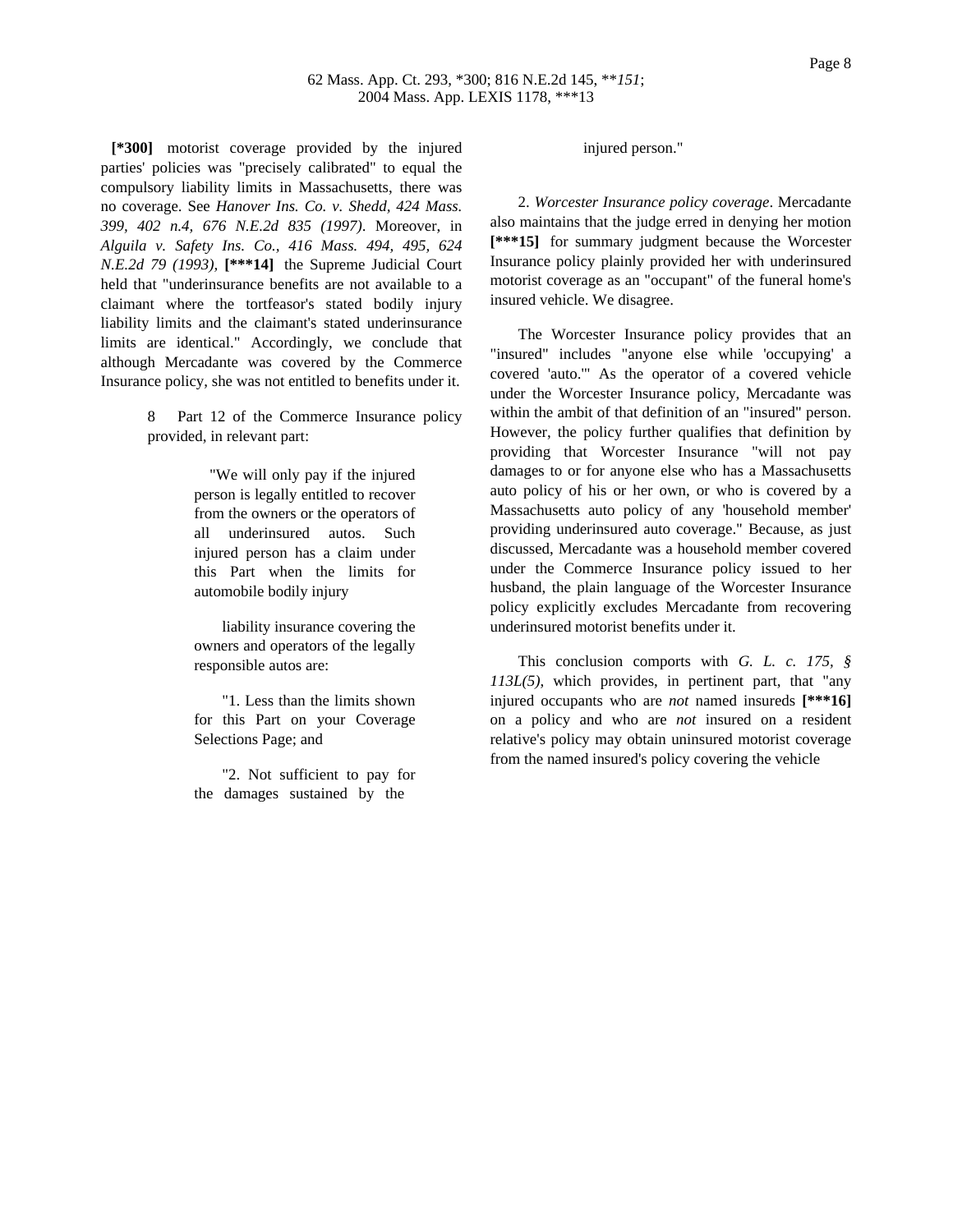**[\*300]** motorist coverage provided by the injured parties' policies was "precisely calibrated" to equal the compulsory liability limits in Massachusetts, there was no coverage. See *Hanover Ins. Co. v. Shedd, 424 Mass. 399, 402 n.4, 676 N.E.2d 835 (1997)*. Moreover, in *Alguila v. Safety Ins. Co., 416 Mass. 494, 495, 624 N.E.2d 79 (1993),* **[\*\*\*14]** the Supreme Judicial Court held that "underinsurance benefits are not available to a claimant where the tortfeasor's stated bodily injury liability limits and the claimant's stated underinsurance limits are identical." Accordingly, we conclude that although Mercadante was covered by the Commerce Insurance policy, she was not entitled to benefits under it.

> Part 12 of the Commerce Insurance policy provided, in relevant part:

> > "We will only pay if the injured person is legally entitled to recover from the owners or the operators of all underinsured autos. Such injured person has a claim under this Part when the limits for automobile bodily injury

> > liability insurance covering the owners and operators of the legally responsible autos are:

> > "1. Less than the limits shown for this Part on your Coverage Selections Page; and

> > "2. Not sufficient to pay for the damages sustained by the

### injured person."

2. *Worcester Insurance policy coverage*. Mercadante also maintains that the judge erred in denying her motion **[\*\*\*15]** for summary judgment because the Worcester Insurance policy plainly provided her with underinsured motorist coverage as an "occupant" of the funeral home's insured vehicle. We disagree.

The Worcester Insurance policy provides that an "insured" includes "anyone else while 'occupying' a covered 'auto.'" As the operator of a covered vehicle under the Worcester Insurance policy, Mercadante was within the ambit of that definition of an "insured" person. However, the policy further qualifies that definition by providing that Worcester Insurance "will not pay damages to or for anyone else who has a Massachusetts auto policy of his or her own, or who is covered by a Massachusetts auto policy of any 'household member' providing underinsured auto coverage." Because, as just discussed, Mercadante was a household member covered under the Commerce Insurance policy issued to her husband, the plain language of the Worcester Insurance policy explicitly excludes Mercadante from recovering underinsured motorist benefits under it.

This conclusion comports with *G. L. c. 175, § 113L(5)*, which provides, in pertinent part, that "any injured occupants who are *not* named insureds **[\*\*\*16]** on a policy and who are *not* insured on a resident relative's policy may obtain uninsured motorist coverage from the named insured's policy covering the vehicle